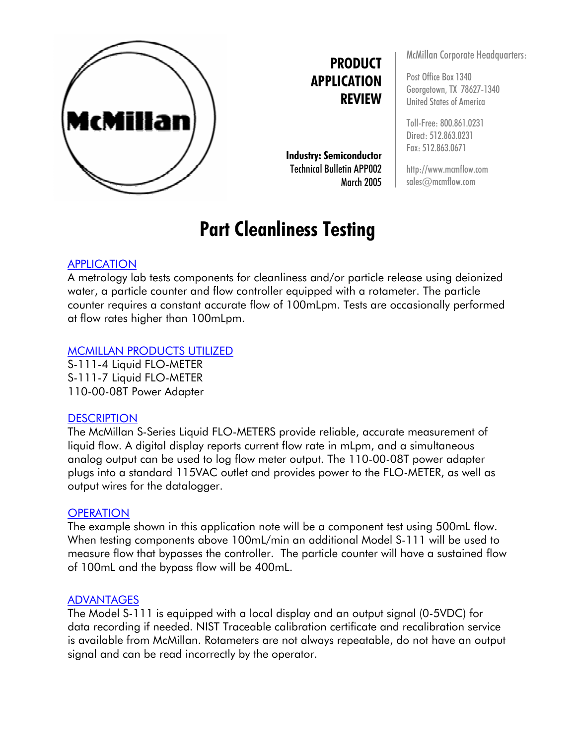

**PRODUCT APPLICATION REVIEW**

**Industry: Semiconductor** Technical Bulletin APP002 March 2005

# **Part Cleanliness Testing**

## APPLICATION

A metrology lab tests components for cleanliness and/or particle release using deionized water, a particle counter and flow controller equipped with a rotameter. The particle counter requires a constant accurate flow of 100mLpm. Tests are occasionally performed at flow rates higher than 100mLpm.

### MCMILLAN PRODUCTS UTILIZED

S-111-4 Liquid FLO-METER S-111-7 Liquid FLO-METER 110-00-08T Power Adapter

### **DESCRIPTION**

The McMillan S-Series Liquid FLO-METERS provide reliable, accurate measurement of liquid flow. A digital display reports current flow rate in mLpm, and a simultaneous analog output can be used to log flow meter output. The 110-00-08T power adapter plugs into a standard 115VAC outlet and provides power to the FLO-METER, as well as output wires for the datalogger.

### **OPERATION**

The example shown in this application note will be a component test using 500mL flow. When testing components above 100mL/min an additional Model S-111 will be used to measure flow that bypasses the controller. The particle counter will have a sustained flow of 100mL and the bypass flow will be 400mL.

#### ADVANTAGES

The Model S-111 is equipped with a local display and an output signal (0-5VDC) for data recording if needed. NIST Traceable calibration certificate and recalibration service is available from McMillan. Rotameters are not always repeatable, do not have an output signal and can be read incorrectly by the operator.

McMillan Corporate Headquarters:

Post Office Box 1340 Georgetown, TX 78627-1340 United States of America

Toll-Free: 800.861.0231 Direct: 512.863.0231 Fax: 512.863.0671

http://www.mcmflow.com sales@mcmflow.com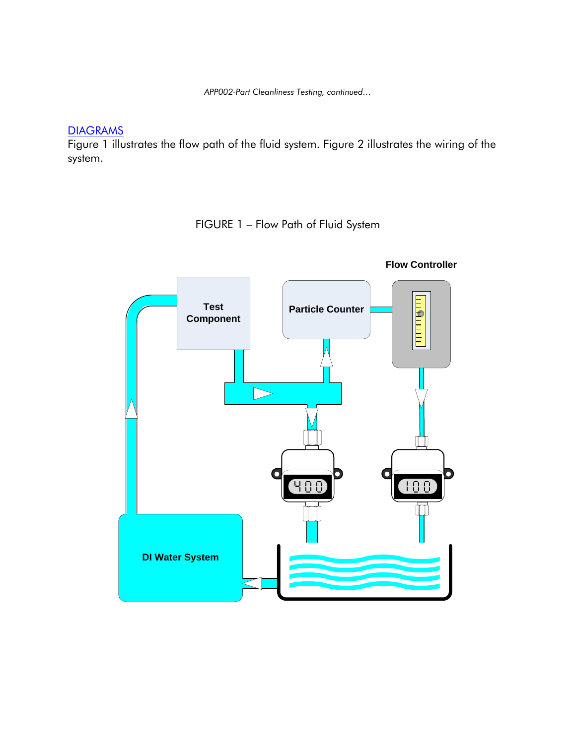*APP002-Part Cleanliness Testing, continued…* 

# **DIAGRAMS**

Figure 1 illustrates the flow path of the fluid system. Figure 2 illustrates the wiring of the system.